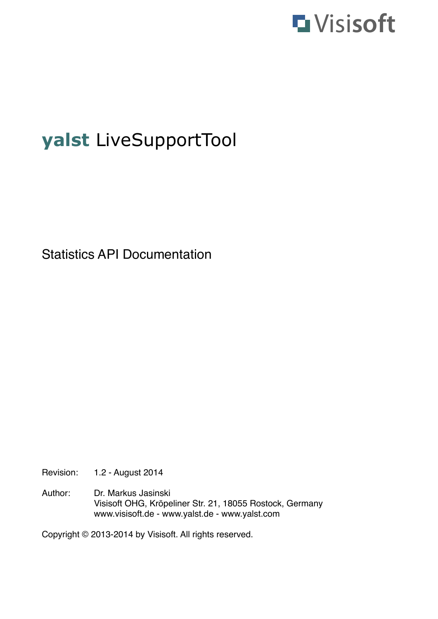

# **yalst** LiveSupportTool

Statistics API Documentation

Revision: 1.2 - August 2014

Author: Dr. Markus Jasinski ! ! Visisoft OHG, Kröpeliner Str. 21, 18055 Rostock, Germany www.visisoft.de - www.yalst.de - www.yalst.com

Copyright © 2013-2014 by Visisoft. All rights reserved.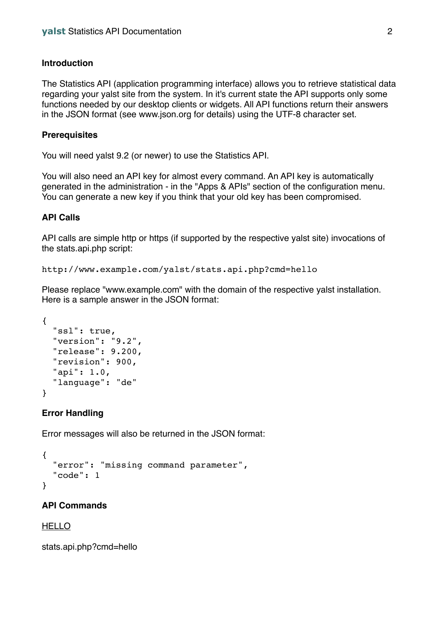### **Introduction**

The Statistics API (application programming interface) allows you to retrieve statistical data regarding your yalst site from the system. In it's current state the API supports only some functions needed by our desktop clients or widgets. All API functions return their answers in the JSON format (see www.json.org for details) using the UTF-8 character set.

#### **Prerequisites**

You will need yalst 9.2 (or newer) to use the Statistics API.

You will also need an API key for almost every command. An API key is automatically generated in the administration - in the "Apps & APIs" section of the configuration menu. You can generate a new key if you think that your old key has been compromised.

### **API Calls**

API calls are simple http or https (if supported by the respective yalst site) invocations of the stats.api.php script:

http://www.example.com/yalst/stats.api.php?cmd=hello

Please replace "www.example.com" with the domain of the respective yalst installation. Here is a sample answer in the JSON format:

```
{
   "ssl": true,
   "version": "9.2",
   "release": 9.200,
   "revision": 900,
   "api": 1.0,
   "language": "de"
}
```
### **Error Handling**

Error messages will also be returned in the JSON format:

```
{
   "error": "missing command parameter",
   "code": 1
}
```
### **API Commands**

### HELLO

stats.api.php?cmd=hello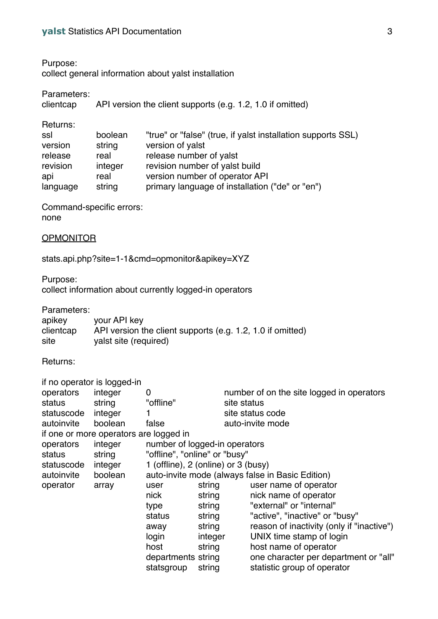Purpose:

collect general information about yalst installation

| Parameters:<br>clientcap | API version the client supports (e.g. 1.2, 1.0 if omitted) |                                                              |  |  |  |
|--------------------------|------------------------------------------------------------|--------------------------------------------------------------|--|--|--|
| Returns:                 |                                                            |                                                              |  |  |  |
| ssl                      | boolean                                                    | "true" or "false" (true, if yalst installation supports SSL) |  |  |  |
| version                  | string                                                     | version of yalst                                             |  |  |  |
| release                  | real                                                       | release number of yalst                                      |  |  |  |
| revision                 | integer                                                    | revision number of yalst build                               |  |  |  |
| api                      | real                                                       | version number of operator API                               |  |  |  |
| language                 | string                                                     | primary language of installation ("de" or "en")              |  |  |  |

Command-specific errors:

none

### **OPMONITOR**

stats.api.php?site=1-1&cmd=opmonitor&apikey=XYZ

Purpose:

collect information about currently logged-in operators

Parameters:

| apikey    | your API key                                               |
|-----------|------------------------------------------------------------|
| clientcap | API version the client supports (e.g. 1.2, 1.0 if omitted) |
| site      | yalst site (required)                                      |

Returns:

| if no operator is logged-in            |         |                                     |         |                                                  |  |
|----------------------------------------|---------|-------------------------------------|---------|--------------------------------------------------|--|
| operators                              | integer | 0                                   |         | number of on the site logged in operators        |  |
| status                                 | string  | "offline"                           |         | site status                                      |  |
| statuscode                             | integer |                                     |         | site status code                                 |  |
| autoinvite                             | boolean | false                               |         | auto-invite mode                                 |  |
| if one or more operators are logged in |         |                                     |         |                                                  |  |
| operators                              | integer | number of logged-in operators       |         |                                                  |  |
| status                                 | string  | "offline", "online" or "busy"       |         |                                                  |  |
| statuscode                             | integer | 1 (offline), 2 (online) or 3 (busy) |         |                                                  |  |
| autoinvite                             | boolean |                                     |         | auto-invite mode (always false in Basic Edition) |  |
| operator                               | array   | user                                | string  | user name of operator                            |  |
|                                        |         | nick                                | string  | nick name of operator                            |  |
|                                        |         | type                                | string  | "external" or "internal"                         |  |
|                                        |         | status                              | string  | "active", "inactive" or "busy"                   |  |
|                                        |         | away                                | string  | reason of inactivity (only if "inactive")        |  |
|                                        |         | login                               | integer | UNIX time stamp of login                         |  |
|                                        |         | host                                | string  | host name of operator                            |  |
|                                        |         | departments string                  |         | one character per department or "all"            |  |
|                                        |         | statsgroup                          | string  | statistic group of operator                      |  |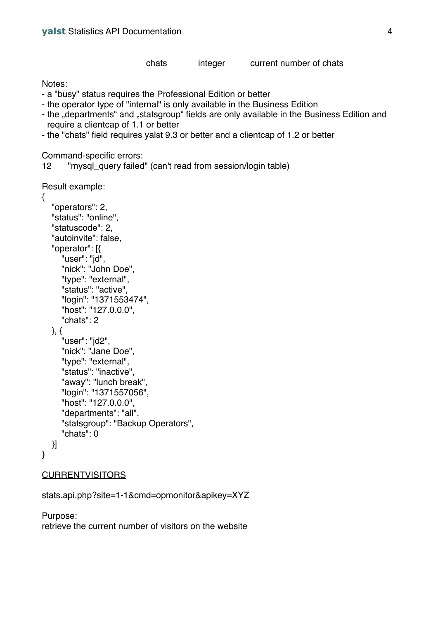#### chats integer current number of chats

Notes:

- a "busy" status requires the Professional Edition or better
- the operator type of "internal" is only available in the Business Edition
- the "departments" and "statsgroup" fields are only available in the Business Edition and require a clientcap of 1.1 or better
- the "chats" field requires yalst 9.3 or better and a clientcap of 1.2 or better

Command-specific errors:

12 "mysql\_query failed" (can't read from session/login table)

```
Result example:
```

```
{
    "operators": 2,
   "status": "online",
   "statuscode": 2,
   "autoinvite": false,
   "operator": [{
       "user": "jd",
       "nick": "John Doe",
       "type": "external",
       "status": "active",
       "login": "1371553474",
       "host": "127.0.0.0",
      "chats": 2
   }, {
      "user": "jd2",
       "nick": "Jane Doe",
       "type": "external",
       "status": "inactive",
       "away": "lunch break",
       "login": "1371557056",
       "host": "127.0.0.0",
       "departments": "all",
       "statsgroup": "Backup Operators",
       "chats": 0
   }]
}
```
## CURRENTVISITORS

```
stats.api.php?site=1-1&cmd=opmonitor&apikey=XYZ
```
Purpose: retrieve the current number of visitors on the website